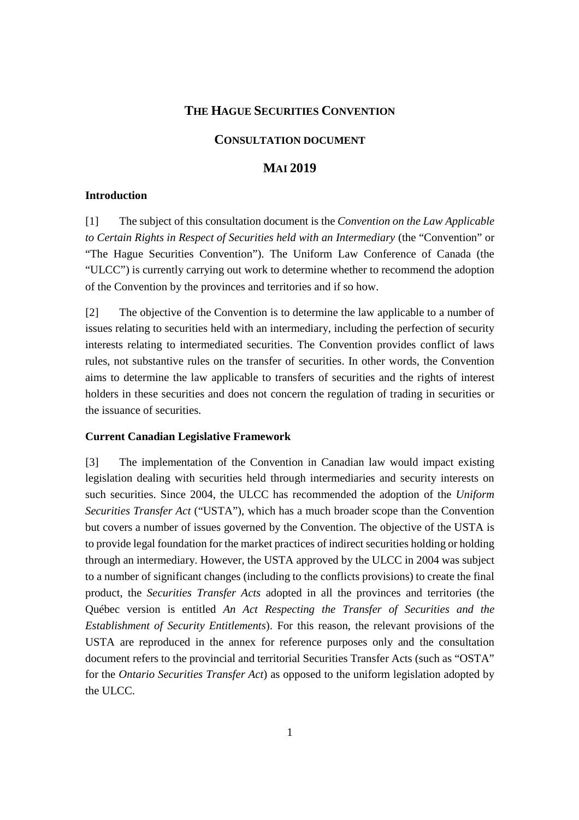## **THE HAGUE SECURITIES CONVENTION**

## **CONSULTATION DOCUMENT**

# **MAI 2019**

#### **Introduction**

[1] The subject of this consultation document is the *Convention on the Law Applicable to Certain Rights in Respect of Securities held with an Intermediary* (the "Convention" or "The Hague Securities Convention"). The Uniform Law Conference of Canada (the "ULCC") is currently carrying out work to determine whether to recommend the adoption of the Convention by the provinces and territories and if so how.

[2] The objective of the Convention is to determine the law applicable to a number of issues relating to securities held with an intermediary, including the perfection of security interests relating to intermediated securities. The Convention provides conflict of laws rules, not substantive rules on the transfer of securities. In other words, the Convention aims to determine the law applicable to transfers of securities and the rights of interest holders in these securities and does not concern the regulation of trading in securities or the issuance of securities.

#### **Current Canadian Legislative Framework**

[3] The implementation of the Convention in Canadian law would impact existing legislation dealing with securities held through intermediaries and security interests on such securities. Since 2004, the ULCC has recommended the adoption of the *Uniform Securities Transfer Act* ("USTA"), which has a much broader scope than the Convention but covers a number of issues governed by the Convention. The objective of the USTA is to provide legal foundation for the market practices of indirect securities holding or holding through an intermediary. However, the USTA approved by the ULCC in 2004 was subject to a number of significant changes (including to the conflicts provisions) to create the final product, the *Securities Transfer Acts* adopted in all the provinces and territories (the Québec version is entitled *An Act Respecting the Transfer of Securities and the Establishment of Security Entitlements*). For this reason, the relevant provisions of the USTA are reproduced in the annex for reference purposes only and the consultation document refers to the provincial and territorial Securities Transfer Acts (such as "OSTA" for the *Ontario Securities Transfer Act*) as opposed to the uniform legislation adopted by the ULCC.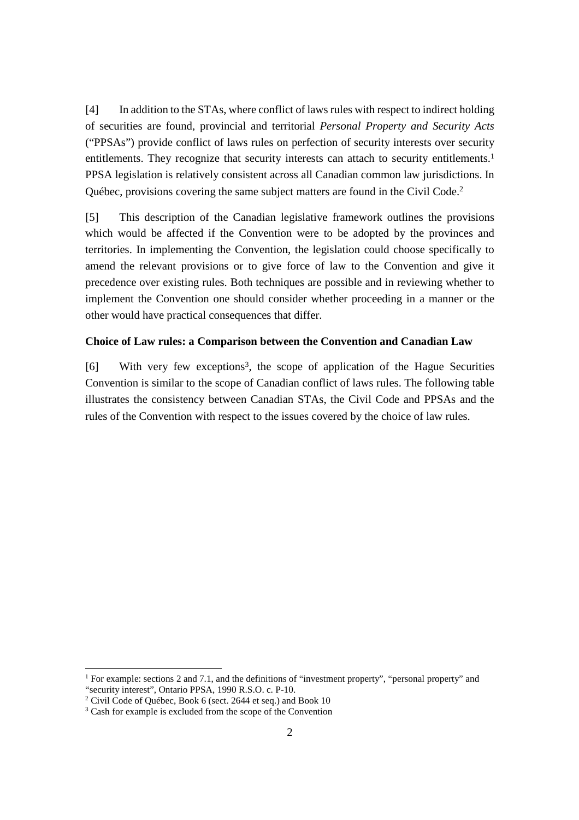[4] In addition to the STAs, where conflict of laws rules with respect to indirect holding of securities are found, provincial and territorial *Personal Property and Security Acts* ("PPSAs") provide conflict of laws rules on perfection of security interests over security entitlements. They recognize that security interests can attach to security entitlements.<sup>1</sup> PPSA legislation is relatively consistent across all Canadian common law jurisdictions. In Québec, provisions covering the same subject matters are found in the Civil Code.<sup>2</sup>

[5] This description of the Canadian legislative framework outlines the provisions which would be affected if the Convention were to be adopted by the provinces and territories. In implementing the Convention, the legislation could choose specifically to amend the relevant provisions or to give force of law to the Convention and give it precedence over existing rules. Both techniques are possible and in reviewing whether to implement the Convention one should consider whether proceeding in a manner or the other would have practical consequences that differ.

#### **Choice of Law rules: a Comparison between the Convention and Canadian Law**

[6] With very few exceptions<sup>3</sup>, the scope of application of the Hague Securities Convention is similar to the scope of Canadian conflict of laws rules. The following table illustrates the consistency between Canadian STAs, the Civil Code and PPSAs and the rules of the Convention with respect to the issues covered by the choice of law rules.

-

<sup>&</sup>lt;sup>1</sup> For example: sections 2 and 7.1, and the definitions of "investment property", "personal property" and "security interest", Ontario PPSA, 1990 R.S.O. c. P-10.

<sup>&</sup>lt;sup>2</sup> Civil Code of Québec, Book 6 (sect. 2644 et seq.) and Book 10

<sup>&</sup>lt;sup>3</sup> Cash for example is excluded from the scope of the Convention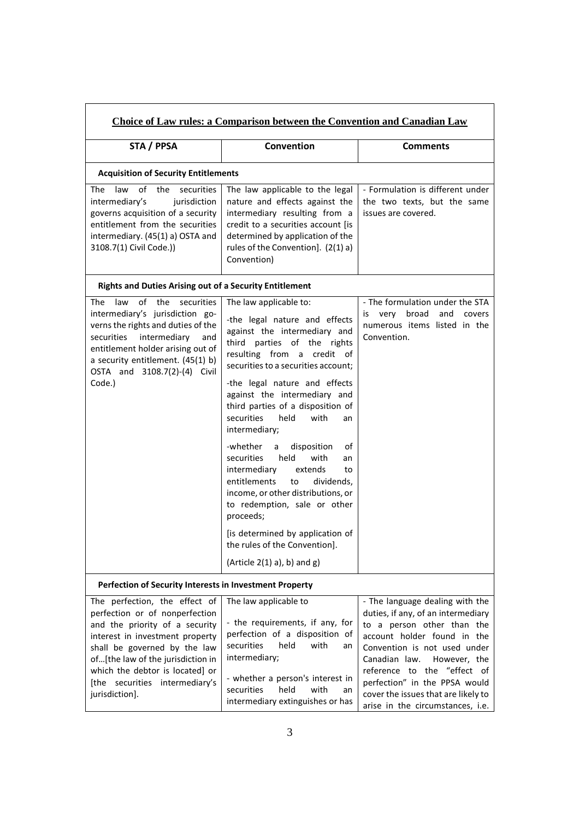| <b>Choice of Law rules: a Comparison between the Convention and Canadian Law</b>                                                                                                                                                                                                                 |                                                                                                                                                                                                                                                                                                                                                                                                                                                                                                                                                                                                                                                                                                   |                                                                                                                                                                                                                                                                                                                                                |  |
|--------------------------------------------------------------------------------------------------------------------------------------------------------------------------------------------------------------------------------------------------------------------------------------------------|---------------------------------------------------------------------------------------------------------------------------------------------------------------------------------------------------------------------------------------------------------------------------------------------------------------------------------------------------------------------------------------------------------------------------------------------------------------------------------------------------------------------------------------------------------------------------------------------------------------------------------------------------------------------------------------------------|------------------------------------------------------------------------------------------------------------------------------------------------------------------------------------------------------------------------------------------------------------------------------------------------------------------------------------------------|--|
| STA / PPSA                                                                                                                                                                                                                                                                                       | Convention                                                                                                                                                                                                                                                                                                                                                                                                                                                                                                                                                                                                                                                                                        | <b>Comments</b>                                                                                                                                                                                                                                                                                                                                |  |
| <b>Acquisition of Security Entitlements</b>                                                                                                                                                                                                                                                      |                                                                                                                                                                                                                                                                                                                                                                                                                                                                                                                                                                                                                                                                                                   |                                                                                                                                                                                                                                                                                                                                                |  |
| of<br>the<br>securities<br>The<br>law<br>intermediary's<br>jurisdiction<br>governs acquisition of a security<br>entitlement from the securities<br>intermediary. (45(1) a) OSTA and<br>3108.7(1) Civil Code.))                                                                                   | The law applicable to the legal<br>nature and effects against the<br>intermediary resulting from a<br>credit to a securities account [is<br>determined by application of the<br>rules of the Convention]. (2(1) a)<br>Convention)                                                                                                                                                                                                                                                                                                                                                                                                                                                                 | - Formulation is different under<br>the two texts, but the same<br>issues are covered.                                                                                                                                                                                                                                                         |  |
| <b>Rights and Duties Arising out of a Security Entitlement</b>                                                                                                                                                                                                                                   |                                                                                                                                                                                                                                                                                                                                                                                                                                                                                                                                                                                                                                                                                                   |                                                                                                                                                                                                                                                                                                                                                |  |
| The<br>law<br>οf<br>the<br>securities<br>intermediary's jurisdiction go-<br>verns the rights and duties of the<br>securities<br>intermediary<br>and<br>entitlement holder arising out of<br>a security entitlement. (45(1) b)<br>OSTA and 3108.7(2)-(4) Civil<br>Code.)                          | The law applicable to:<br>-the legal nature and effects<br>against the intermediary and<br>third parties of the rights<br>resulting from a credit of<br>securities to a securities account;<br>-the legal nature and effects<br>against the intermediary and<br>third parties of a disposition of<br>held<br>with<br>securities<br>an<br>intermediary;<br>-whether<br>disposition<br>a<br>οf<br>held<br>securities<br>with<br>an<br>intermediary<br>extends<br>to<br>entitlements<br>dividends,<br>to<br>income, or other distributions, or<br>to redemption, sale or other<br>proceeds;<br>[is determined by application of<br>the rules of the Convention].<br>(Article $2(1)$ a), b) and $g$ ) | - The formulation under the STA<br>broad<br>and<br>is very<br>covers<br>numerous items listed in the<br>Convention.                                                                                                                                                                                                                            |  |
| Perfection of Security Interests in Investment Property                                                                                                                                                                                                                                          |                                                                                                                                                                                                                                                                                                                                                                                                                                                                                                                                                                                                                                                                                                   |                                                                                                                                                                                                                                                                                                                                                |  |
| The perfection, the effect of<br>perfection or of nonperfection<br>and the priority of a security<br>interest in investment property<br>shall be governed by the law<br>of[the law of the jurisdiction in<br>which the debtor is located] or<br>[the securities intermediary's<br>jurisdiction]. | The law applicable to<br>- the requirements, if any, for<br>perfection of a disposition of<br>securities<br>held<br>with<br>an<br>intermediary;<br>- whether a person's interest in<br>held<br>with<br>securities<br>an<br>intermediary extinguishes or has                                                                                                                                                                                                                                                                                                                                                                                                                                       | - The language dealing with the<br>duties, if any, of an intermediary<br>to a person other than the<br>account holder found in the<br>Convention is not used under<br>Canadian law.<br>However, the<br>reference to the "effect of<br>perfection" in the PPSA would<br>cover the issues that are likely to<br>arise in the circumstances, i.e. |  |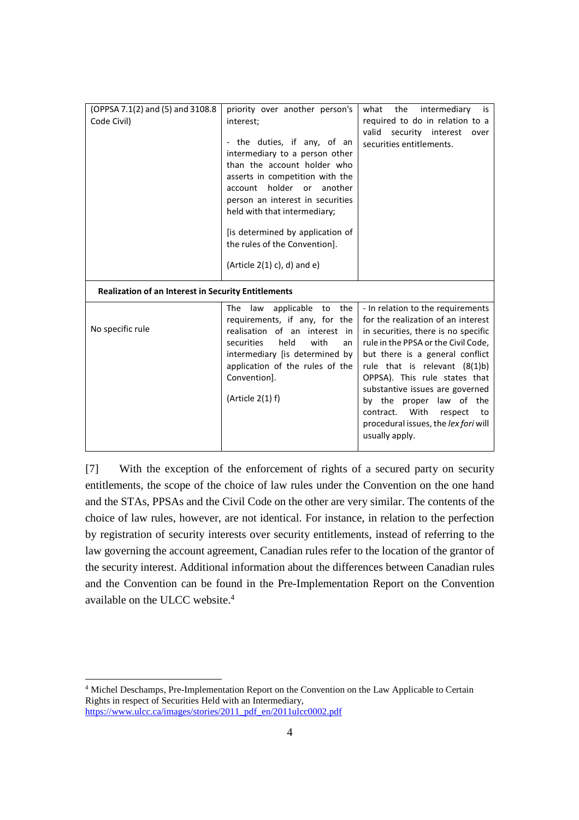| (OPPSA 7.1(2) and (5) and 3108.8<br>Code Civil)            | priority over another person's<br>interest;<br>- the duties, if any, of an<br>intermediary to a person other<br>than the account holder who<br>asserts in competition with the<br>account holder or<br>another<br>person an interest in securities<br>held with that intermediary;<br>[is determined by application of<br>the rules of the Convention].<br>(Article $2(1)$ c), d) and e) | intermediary<br>the<br>what<br>is<br>required to do in relation to a<br>valid security interest<br>over<br>securities entitlements.                                                                                                                                                                                                                                                                                         |
|------------------------------------------------------------|------------------------------------------------------------------------------------------------------------------------------------------------------------------------------------------------------------------------------------------------------------------------------------------------------------------------------------------------------------------------------------------|-----------------------------------------------------------------------------------------------------------------------------------------------------------------------------------------------------------------------------------------------------------------------------------------------------------------------------------------------------------------------------------------------------------------------------|
| <b>Realization of an Interest in Security Entitlements</b> |                                                                                                                                                                                                                                                                                                                                                                                          |                                                                                                                                                                                                                                                                                                                                                                                                                             |
| No specific rule                                           | The<br>applicable<br>the<br>law<br>to<br>requirements, if any, for the<br>realisation of an<br>interest in<br>held<br>with<br>securities<br>an<br>intermediary [is determined by<br>application of the rules of the<br>Convention].<br>(Article 2(1) f)                                                                                                                                  | - In relation to the requirements<br>for the realization of an interest<br>in securities, there is no specific<br>rule in the PPSA or the Civil Code,<br>but there is a general conflict<br>rule that is relevant $(8(1)b)$<br>OPPSA). This rule states that<br>substantive issues are governed<br>by the proper law of the<br>contract. With<br>respect<br>to to<br>procedural issues, the lex fori will<br>usually apply. |

[7] With the exception of the enforcement of rights of a secured party on security entitlements, the scope of the choice of law rules under the Convention on the one hand and the STAs, PPSAs and the Civil Code on the other are very similar. The contents of the choice of law rules, however, are not identical. For instance, in relation to the perfection by registration of security interests over security entitlements, instead of referring to the law governing the account agreement, Canadian rules refer to the location of the grantor of the security interest. Additional information about the differences between Canadian rules and the Convention can be found in the Pre-Implementation Report on the Convention available on the ULCC website.<sup>4</sup>

-4 Michel Deschamps, Pre-Implementation Report on the Convention on the Law Applicable to Certain Rights in respect of Securities Held with an Intermediary, https://www.ulcc.ca/images/stories/2011\_pdf\_en/2011ulcc0002.pdf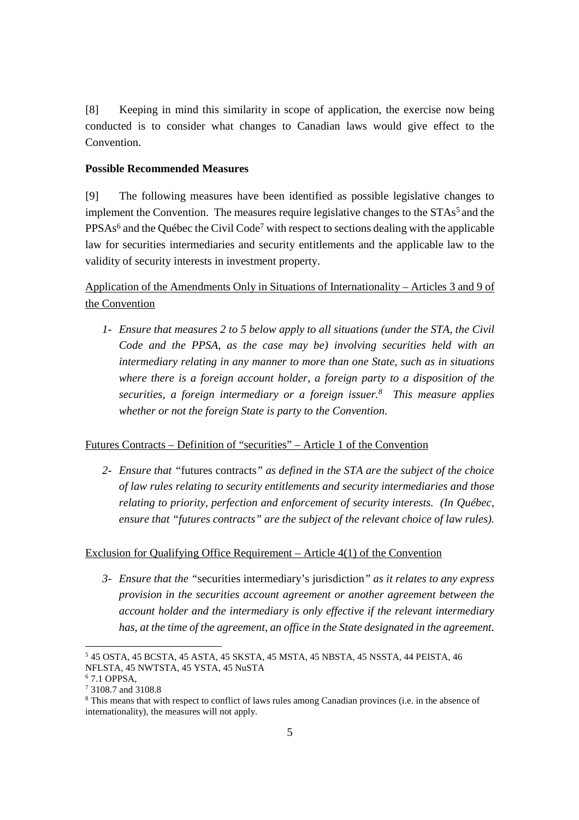[8] Keeping in mind this similarity in scope of application, the exercise now being conducted is to consider what changes to Canadian laws would give effect to the Convention.

# **Possible Recommended Measures**

[9] The following measures have been identified as possible legislative changes to implement the Convention. The measures require legislative changes to the  $STAs<sup>5</sup>$  and the  $PPSAs<sup>6</sup>$  and the Québec the Civil Code<sup>7</sup> with respect to sections dealing with the applicable law for securities intermediaries and security entitlements and the applicable law to the validity of security interests in investment property.

Application of the Amendments Only in Situations of Internationality – Articles 3 and 9 of the Convention

*1- Ensure that measures 2 to 5 below apply to all situations (under the STA, the Civil Code and the PPSA, as the case may be) involving securities held with an intermediary relating in any manner to more than one State, such as in situations where there is a foreign account holder, a foreign party to a disposition of the securities, a foreign intermediary or a foreign issuer.<sup>8</sup> This measure applies whether or not the foreign State is party to the Convention.* 

# Futures Contracts – Definition of "securities" – Article 1 of the Convention

*2- Ensure that "*futures contracts*" as defined in the STA are the subject of the choice of law rules relating to security entitlements and security intermediaries and those relating to priority, perfection and enforcement of security interests. (In Québec, ensure that "futures contracts" are the subject of the relevant choice of law rules).* 

#### Exclusion for Qualifying Office Requirement – Article 4(1) of the Convention

*3- Ensure that the "*securities intermediary's jurisdiction*" as it relates to any express provision in the securities account agreement or another agreement between the account holder and the intermediary is only effective if the relevant intermediary has, at the time of the agreement, an office in the State designated in the agreement.* 

-

<sup>5</sup> 45 OSTA, 45 BCSTA, 45 ASTA, 45 SKSTA, 45 MSTA, 45 NBSTA, 45 NSSTA, 44 PEISTA, 46 NFLSTA, 45 NWTSTA, 45 YSTA, 45 NuSTA

<sup>6</sup> 7.1 OPPSA,

<sup>7</sup> 3108.7 and 3108.8

<sup>&</sup>lt;sup>8</sup> This means that with respect to conflict of laws rules among Canadian provinces (i.e. in the absence of internationality), the measures will not apply.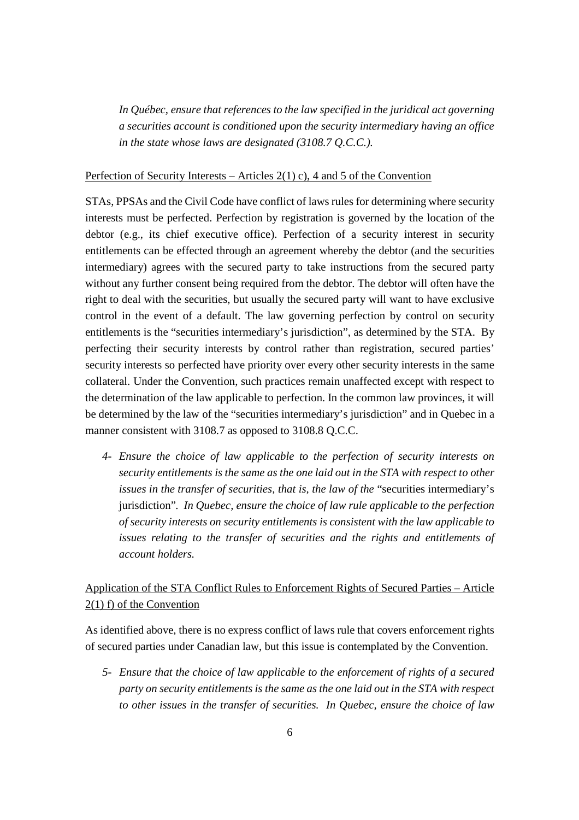*In Québec, ensure that references to the law specified in the juridical act governing a securities account is conditioned upon the security intermediary having an office in the state whose laws are designated (3108.7 Q.C.C.).* 

#### Perfection of Security Interests – Articles 2(1) c), 4 and 5 of the Convention

STAs, PPSAs and the Civil Code have conflict of laws rules for determining where security interests must be perfected. Perfection by registration is governed by the location of the debtor (e.g., its chief executive office). Perfection of a security interest in security entitlements can be effected through an agreement whereby the debtor (and the securities intermediary) agrees with the secured party to take instructions from the secured party without any further consent being required from the debtor. The debtor will often have the right to deal with the securities, but usually the secured party will want to have exclusive control in the event of a default. The law governing perfection by control on security entitlements is the "securities intermediary's jurisdiction", as determined by the STA. By perfecting their security interests by control rather than registration, secured parties' security interests so perfected have priority over every other security interests in the same collateral. Under the Convention, such practices remain unaffected except with respect to the determination of the law applicable to perfection. In the common law provinces, it will be determined by the law of the "securities intermediary's jurisdiction" and in Quebec in a manner consistent with 3108.7 as opposed to 3108.8 Q.C.C.

*4- Ensure the choice of law applicable to the perfection of security interests on security entitlements is the same as the one laid out in the STA with respect to other issues in the transfer of securities, that is, the law of the* "securities intermediary's jurisdiction"*. In Quebec, ensure the choice of law rule applicable to the perfection of security interests on security entitlements is consistent with the law applicable to issues relating to the transfer of securities and the rights and entitlements of account holders.* 

# Application of the STA Conflict Rules to Enforcement Rights of Secured Parties – Article 2(1) f) of the Convention

As identified above, there is no express conflict of laws rule that covers enforcement rights of secured parties under Canadian law, but this issue is contemplated by the Convention.

*5- Ensure that the choice of law applicable to the enforcement of rights of a secured party on security entitlements is the same as the one laid out in the STA with respect to other issues in the transfer of securities. In Quebec, ensure the choice of law*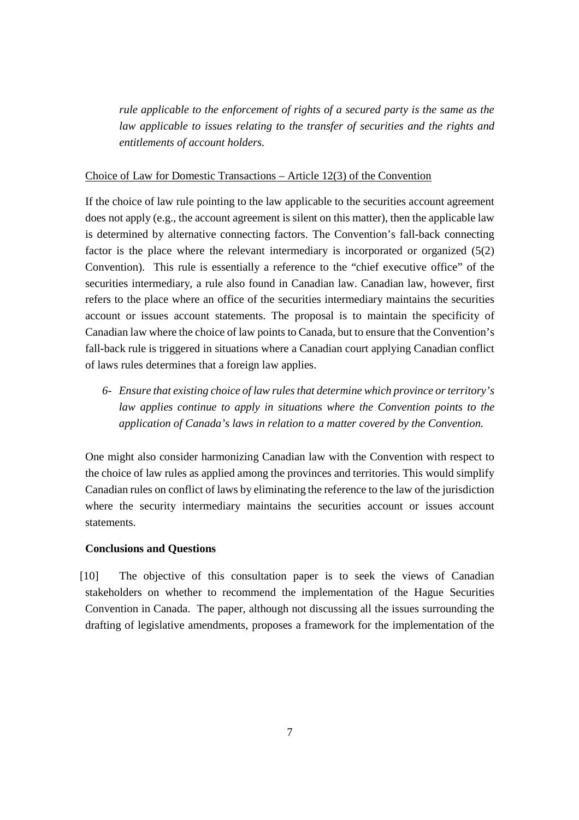*rule applicable to the enforcement of rights of a secured party is the same as the law applicable to issues relating to the transfer of securities and the rights and entitlements of account holders.* 

#### Choice of Law for Domestic Transactions – Article 12(3) of the Convention

If the choice of law rule pointing to the law applicable to the securities account agreement does not apply (e.g., the account agreement is silent on this matter), then the applicable law is determined by alternative connecting factors. The Convention's fall-back connecting factor is the place where the relevant intermediary is incorporated or organized (5(2) Convention). This rule is essentially a reference to the "chief executive office" of the securities intermediary, a rule also found in Canadian law. Canadian law, however, first refers to the place where an office of the securities intermediary maintains the securities account or issues account statements. The proposal is to maintain the specificity of Canadian law where the choice of law points to Canada, but to ensure that the Convention's fall-back rule is triggered in situations where a Canadian court applying Canadian conflict of laws rules determines that a foreign law applies.

*6- Ensure that existing choice of law rules that determine which province or territory's law applies continue to apply in situations where the Convention points to the application of Canada's laws in relation to a matter covered by the Convention.* 

One might also consider harmonizing Canadian law with the Convention with respect to the choice of law rules as applied among the provinces and territories. This would simplify Canadian rules on conflict of laws by eliminating the reference to the law of the jurisdiction where the security intermediary maintains the securities account or issues account statements.

# **Conclusions and Questions**

[10] The objective of this consultation paper is to seek the views of Canadian stakeholders on whether to recommend the implementation of the Hague Securities Convention in Canada. The paper, although not discussing all the issues surrounding the drafting of legislative amendments, proposes a framework for the implementation of the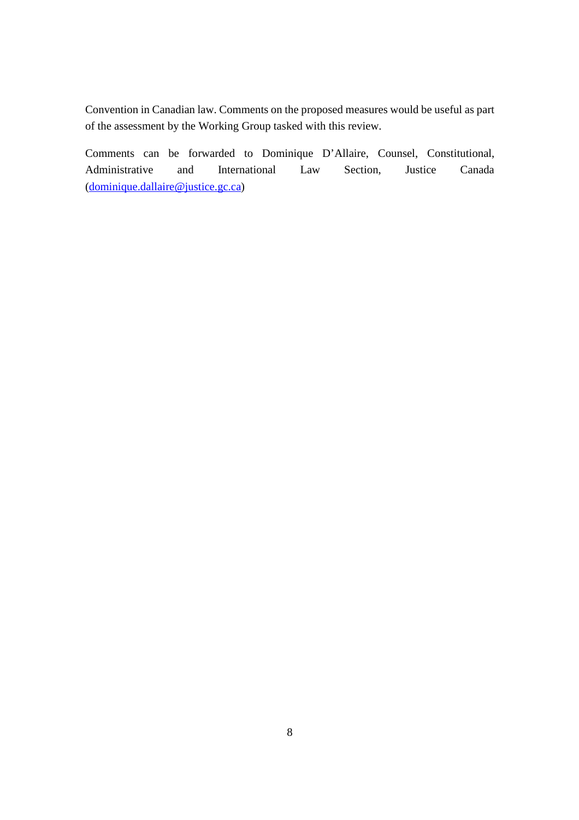Convention in Canadian law. Comments on the proposed measures would be useful as part of the assessment by the Working Group tasked with this review.

Comments can be forwarded to Dominique D'Allaire, Counsel, Constitutional, Administrative and International Law Section, Justice Canada (dominique.dallaire@justice.gc.ca)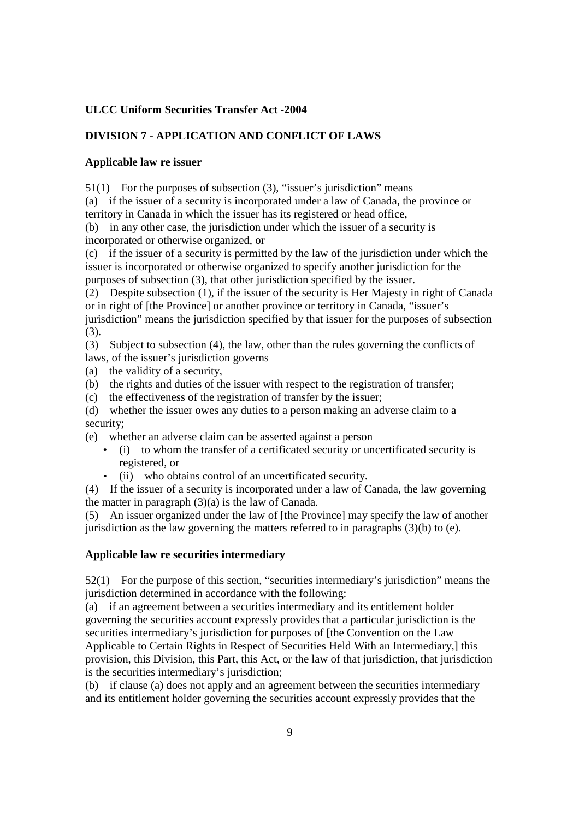# **ULCC Uniform Securities Transfer Act -2004**

# **DIVISION 7 - APPLICATION AND CONFLICT OF LAWS**

#### **Applicable law re issuer**

51(1) For the purposes of subsection (3), "issuer's jurisdiction" means

(a) if the issuer of a security is incorporated under a law of Canada, the province or territory in Canada in which the issuer has its registered or head office,

(b) in any other case, the jurisdiction under which the issuer of a security is incorporated or otherwise organized, or

(c) if the issuer of a security is permitted by the law of the jurisdiction under which the issuer is incorporated or otherwise organized to specify another jurisdiction for the purposes of subsection (3), that other jurisdiction specified by the issuer.

(2) Despite subsection (1), if the issuer of the security is Her Majesty in right of Canada or in right of [the Province] or another province or territory in Canada, "issuer's jurisdiction" means the jurisdiction specified by that issuer for the purposes of subsection (3).

(3) Subject to subsection (4), the law, other than the rules governing the conflicts of laws, of the issuer's jurisdiction governs

(a) the validity of a security,

(b) the rights and duties of the issuer with respect to the registration of transfer;

(c) the effectiveness of the registration of transfer by the issuer;

(d) whether the issuer owes any duties to a person making an adverse claim to a security;

(e) whether an adverse claim can be asserted against a person

- (i) to whom the transfer of a certificated security or uncertificated security is registered, or
- (ii) who obtains control of an uncertificated security.

(4) If the issuer of a security is incorporated under a law of Canada, the law governing the matter in paragraph (3)(a) is the law of Canada.

(5) An issuer organized under the law of [the Province] may specify the law of another jurisdiction as the law governing the matters referred to in paragraphs  $(3)(b)$  to  $(e)$ .

#### **Applicable law re securities intermediary**

52(1) For the purpose of this section, "securities intermediary's jurisdiction" means the jurisdiction determined in accordance with the following:

(a) if an agreement between a securities intermediary and its entitlement holder governing the securities account expressly provides that a particular jurisdiction is the securities intermediary's jurisdiction for purposes of [the Convention on the Law Applicable to Certain Rights in Respect of Securities Held With an Intermediary,] this provision, this Division, this Part, this Act, or the law of that jurisdiction, that jurisdiction is the securities intermediary's jurisdiction;

(b) if clause (a) does not apply and an agreement between the securities intermediary and its entitlement holder governing the securities account expressly provides that the